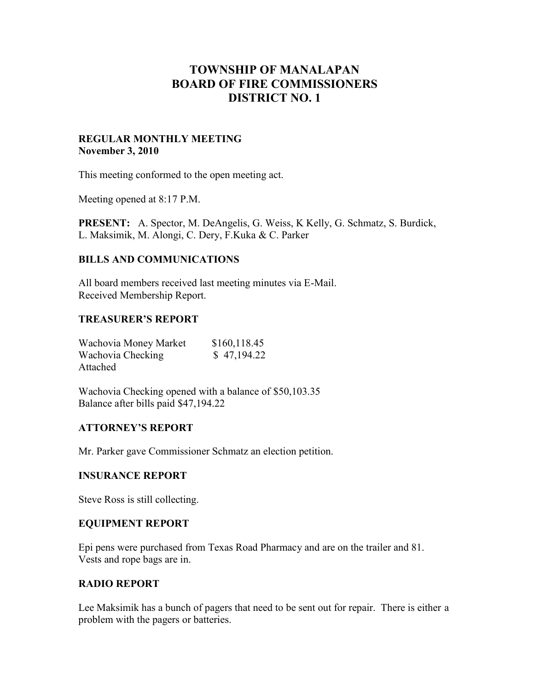# **TOWNSHIP OF MANALAPAN BOARD OF FIRE COMMISSIONERS DISTRICT NO. 1**

#### **REGULAR MONTHLY MEETING November 3, 2010**

This meeting conformed to the open meeting act.

Meeting opened at 8:17 P.M.

**PRESENT:** A. Spector, M. DeAngelis, G. Weiss, K Kelly, G. Schmatz, S. Burdick, L. Maksimik, M. Alongi, C. Dery, F.Kuka & C. Parker

## **BILLS AND COMMUNICATIONS**

All board members received last meeting minutes via E-Mail. Received Membership Report.

#### **TREASURER'S REPORT**

| Wachovia Money Market | \$160,118.45 |
|-----------------------|--------------|
| Wachovia Checking     | \$47,194.22  |
| Attached              |              |

Wachovia Checking opened with a balance of \$50,103.35 Balance after bills paid \$47,194.22

## **ATTORNEY'S REPORT**

Mr. Parker gave Commissioner Schmatz an election petition.

#### **INSURANCE REPORT**

Steve Ross is still collecting.

#### **EQUIPMENT REPORT**

Epi pens were purchased from Texas Road Pharmacy and are on the trailer and 81. Vests and rope bags are in.

## **RADIO REPORT**

Lee Maksimik has a bunch of pagers that need to be sent out for repair. There is either a problem with the pagers or batteries.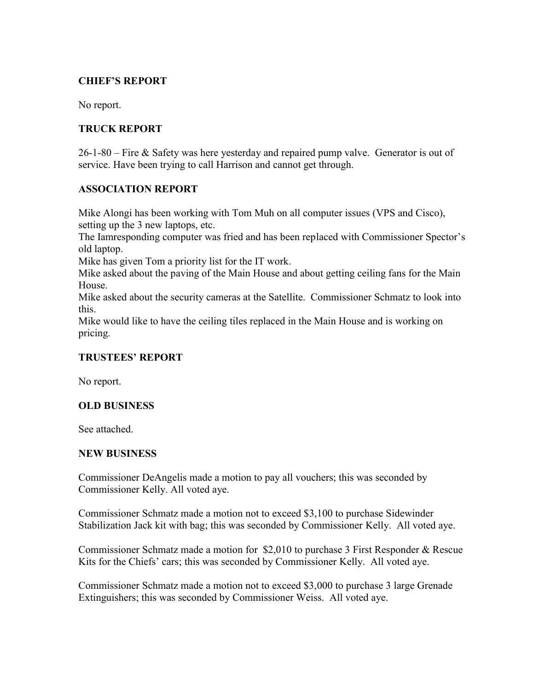## **CHIEF'S REPORT**

No report.

## **TRUCK REPORT**

26-1-80 – Fire & Safety was here yesterday and repaired pump valve. Generator is out of service. Have been trying to call Harrison and cannot get through.

## **ASSOCIATION REPORT**

Mike Alongi has been working with Tom Muh on all computer issues (VPS and Cisco), setting up the 3 new laptops, etc.

The Iamresponding computer was fried and has been replaced with Commissioner Spector's old laptop.

Mike has given Tom a priority list for the IT work.

Mike asked about the paving of the Main House and about getting ceiling fans for the Main House.

Mike asked about the security cameras at the Satellite. Commissioner Schmatz to look into this.

Mike would like to have the ceiling tiles replaced in the Main House and is working on pricing.

## **TRUSTEES' REPORT**

No report.

## **OLD BUSINESS**

See attached.

#### **NEW BUSINESS**

Commissioner DeAngelis made a motion to pay all vouchers; this was seconded by Commissioner Kelly. All voted aye.

Commissioner Schmatz made a motion not to exceed \$3,100 to purchase Sidewinder Stabilization Jack kit with bag; this was seconded by Commissioner Kelly. All voted aye.

Commissioner Schmatz made a motion for \$2,010 to purchase 3 First Responder & Rescue Kits for the Chiefs' cars; this was seconded by Commissioner Kelly. All voted aye.

Commissioner Schmatz made a motion not to exceed \$3,000 to purchase 3 large Grenade Extinguishers; this was seconded by Commissioner Weiss. All voted aye.